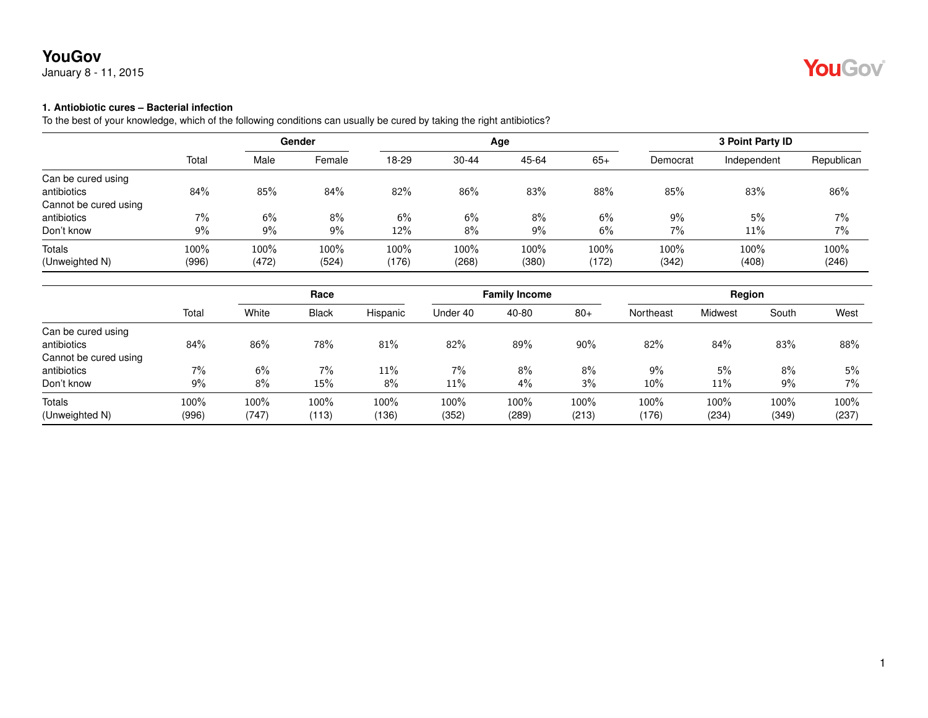

#### **1. Antiobiotic cures – Bacterial infection**

|                       |       | Gender |        |       |           | Age   | 3 Point Party ID |          |             |            |
|-----------------------|-------|--------|--------|-------|-----------|-------|------------------|----------|-------------|------------|
|                       | Total | Male   | Female | 18-29 | $30 - 44$ | 45-64 | $65+$            | Democrat | Independent | Republican |
| Can be cured using    |       |        |        |       |           |       |                  |          |             |            |
| antibiotics           | 84%   | 85%    | 84%    | 82%   | 86%       | 83%   | 88%              | 85%      | 83%         | 86%        |
| Cannot be cured using |       |        |        |       |           |       |                  |          |             |            |
| antibiotics           | 7%    | 6%     | 8%     | 6%    | 6%        | 8%    | $6\%$            | 9%       | 5%          | 7%         |
| Don't know            | 9%    | 9%     | 9%     | 12%   | 8%        | 9%    | 6%               | 7%       | 11%         | 7%         |
| Totals                | 100%  | 100%   | 100%   | 100%  | 100%      | 100%  | 100%             | 100%     | 100%        | 100%       |
| (Unweighted N)        | (996) | (472)  | (524)  | (176) | (268)     | (380) | (172)            | (342)    | (408)       | (246)      |

|                       |       | Race  |              | <b>Family Income</b> |          |       | Region |           |         |       |       |
|-----------------------|-------|-------|--------------|----------------------|----------|-------|--------|-----------|---------|-------|-------|
|                       | Total | White | <b>Black</b> | Hispanic             | Under 40 | 40-80 | $80+$  | Northeast | Midwest | South | West  |
| Can be cured using    |       |       |              |                      |          |       |        |           |         |       |       |
| antibiotics           | 84%   | 86%   | 78%          | 81%                  | 82%      | 89%   | 90%    | 82%       | 84%     | 83%   | 88%   |
| Cannot be cured using |       |       |              |                      |          |       |        |           |         |       |       |
| antibiotics           | 7%    | 6%    | 7%           | 11%                  | 7%       | 8%    | $8\%$  | 9%        | 5%      | 8%    | 5%    |
| Don't know            | 9%    | 8%    | 15%          | 8%                   | 11%      | 4%    | 3%     | $10\%$    | 11%     | 9%    | 7%    |
| Totals                | 100%  | 100%  | 100%         | 100%                 | 100%     | 100%  | 100%   | 100%      | 100%    | 100%  | 100%  |
| (Unweighted N)        | (996) | (747) | (113)        | (136)                | (352)    | (289) | (213)  | (176)     | (234)   | (349) | (237) |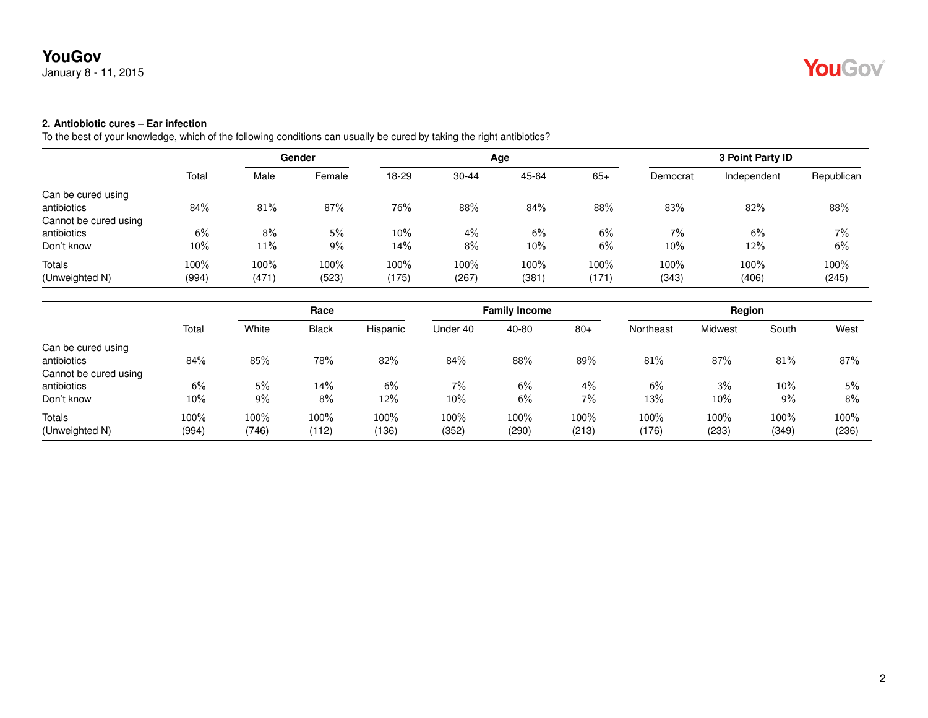# YouGov®

## **2. Antiobiotic cures – Ear infection**

|                       |       |       | Gender |       |           | Age   |       |          | 3 Point Party ID |            |
|-----------------------|-------|-------|--------|-------|-----------|-------|-------|----------|------------------|------------|
|                       | Total | Male  | Female | 18-29 | $30 - 44$ | 45-64 | $65+$ | Democrat | Independent      | Republican |
| Can be cured using    |       |       |        |       |           |       |       |          |                  |            |
| antibiotics           | 84%   | 81%   | 87%    | 76%   | 88%       | 84%   | 88%   | 83%      | 82%              | 88%        |
| Cannot be cured using |       |       |        |       |           |       |       |          |                  |            |
| antibiotics           | 6%    | 8%    | 5%     | 10%   | 4%        | 6%    | 6%    | 7%       | 6%               | 7%         |
| Don't know            | 10%   | 11%   | 9%     | 14%   | 8%        | 10%   | 6%    | 10%      | 12%              | 6%         |
| Totals                | 100%  | 100%  | 100%   | 100%  | 100%      | 100%  | 100%  | 100%     | 100%             | 100%       |
| (Unweighted N)        | (994) | (471) | (523)  | (175) | (267)     | (381) | (171) | (343)    | (406)            | (245)      |

|                       |       | Race  |              |          | <b>Family Income</b> |       |       | Region    |         |       |       |
|-----------------------|-------|-------|--------------|----------|----------------------|-------|-------|-----------|---------|-------|-------|
|                       | Total | White | <b>Black</b> | Hispanic | Under 40             | 40-80 | $80+$ | Northeast | Midwest | South | West  |
| Can be cured using    |       |       |              |          |                      |       |       |           |         |       |       |
| antibiotics           | 84%   | 85%   | 78%          | 82%      | 84%                  | 88%   | 89%   | 81%       | 87%     | 81%   | 87%   |
| Cannot be cured using |       |       |              |          |                      |       |       |           |         |       |       |
| antibiotics           | 6%    | 5%    | 14%          | 6%       | 7%                   | 6%    | 4%    | 6%        | 3%      | 10%   | 5%    |
| Don't know            | 10%   | 9%    | 8%           | 12%      | 10%                  | 6%    | 7%    | 13%       | $10\%$  | 9%    | $8\%$ |
| Totals                | 100%  | 100%  | 100%         | 100%     | 100%                 | 100%  | 100%  | 100%      | 100%    | 100%  | 100%  |
| (Unweighted N)        | (994) | (746) | (112)        | (136)    | (352)                | (290) | (213) | (176)     | (233)   | (349) | (236) |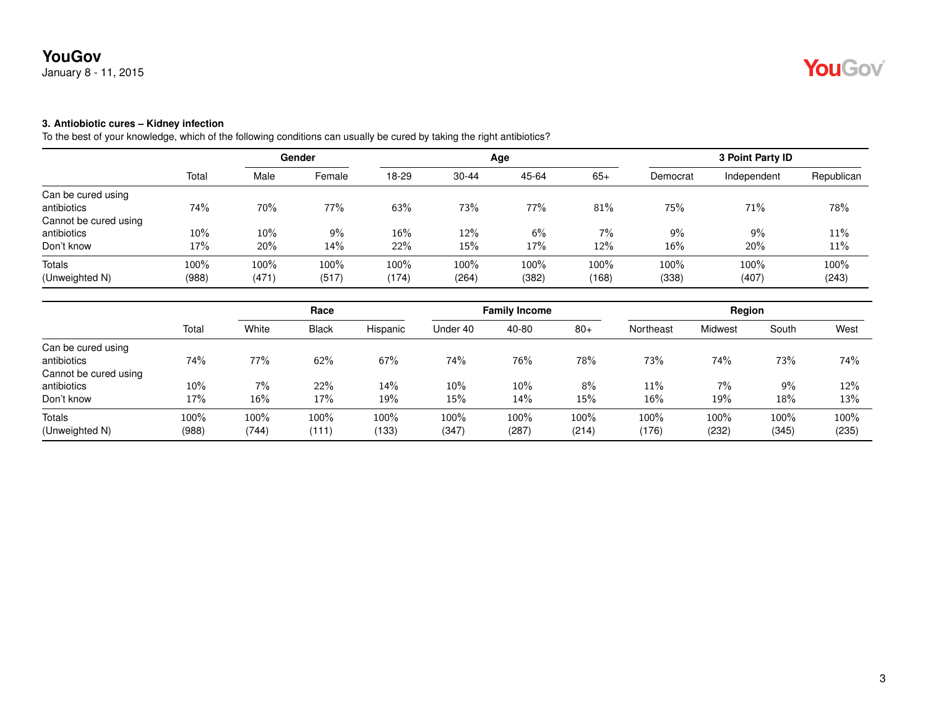### **3. Antiobiotic cures – Kidney infection**

|                       |       | Gender |        |       |           | Age   | 3 Point Party ID |          |             |            |
|-----------------------|-------|--------|--------|-------|-----------|-------|------------------|----------|-------------|------------|
|                       | Total | Male   | Female | 18-29 | $30 - 44$ | 45-64 | $65+$            | Democrat | Independent | Republican |
| Can be cured using    |       |        |        |       |           |       |                  |          |             |            |
| antibiotics           | 74%   | 70%    | 77%    | 63%   | 73%       | 77%   | $81\%$           | 75%      | 71%         | 78%        |
| Cannot be cured using |       |        |        |       |           |       |                  |          |             |            |
| antibiotics           | 10%   | 10%    | 9%     | 16%   | 12%       | 6%    | $7\%$            | 9%       | 9%          | 11%        |
| Don't know            | 17%   | 20%    | 14%    | 22%   | 15%       | 17%   | 12%              | 16%      | 20%         | 11%        |
| Totals                | 100%  | 100%   | 100%   | 100%  | 100%      | 100%  | 100%             | 100%     | 100%        | 100%       |
| (Unweighted N)        | (988) | (471)  | (517)  | (174) | (264)     | (382) | (168)            | (338)    | (407)       | (243)      |

|                       |       | Race  |              |          | <b>Family Income</b> |        |       | Region    |                |       |       |
|-----------------------|-------|-------|--------------|----------|----------------------|--------|-------|-----------|----------------|-------|-------|
|                       | Total | White | <b>Black</b> | Hispanic | Under 40             | 40-80  | $80+$ | Northeast | <b>Midwest</b> | South | West  |
| Can be cured using    |       |       |              |          |                      |        |       |           |                |       |       |
| antibiotics           | 74%   | 77%   | 62%          | 67%      | 74%                  | 76%    | 78%   | 73%       | 74%            | 73%   | 74%   |
| Cannot be cured using |       |       |              |          |                      |        |       |           |                |       |       |
| antibiotics           | 10%   | 7%    | 22%          | 14%      | 10%                  | $10\%$ | 8%    | 11%       | 7%             | 9%    | 12%   |
| Don't know            | 17%   | 16%   | 17%          | 19%      | 15%                  | $14\%$ | 15%   | 16%       | 19%            | 18%   | 13%   |
| <b>Totals</b>         | 100%  | 100%  | 100%         | 100%     | 100%                 | 100%   | 100%  | 100%      | 100%           | 100%  | 100%  |
| (Unweighted N)        | (988) | (744) | (111)        | 133)     | (347)                | (287)  | (214) | (176)     | (232)          | (345) | (235) |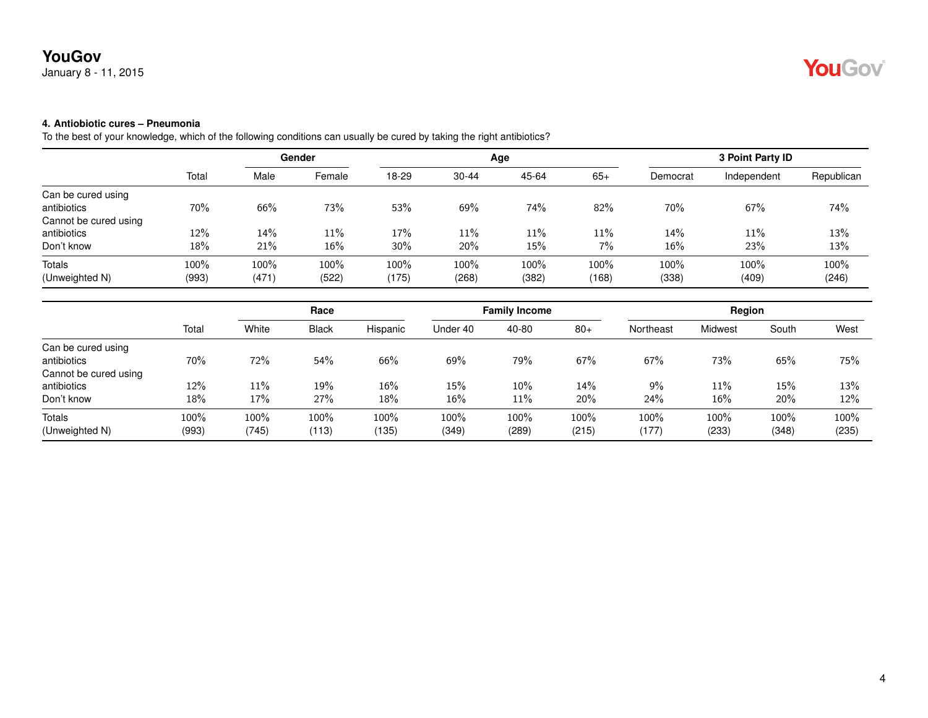### **4. Antiobiotic cures – Pneumonia**

|                       |       |       | Gender |        |           | Age   |       |          | 3 Point Party ID |            |
|-----------------------|-------|-------|--------|--------|-----------|-------|-------|----------|------------------|------------|
|                       | Total | Male  | Female | 18-29  | $30 - 44$ | 45-64 | $65+$ | Democrat | Independent      | Republican |
| Can be cured using    |       |       |        |        |           |       |       |          |                  |            |
| antibiotics           | 70%   | 66%   | 73%    | 53%    | 69%       | 74%   | 82%   | 70%      | 67%              | 74%        |
| Cannot be cured using |       |       |        |        |           |       |       |          |                  |            |
| antibiotics           | 12%   | 14%   | 11%    | 17%    | 11%       | 11%   | 11%   | 14%      | 11%              | 13%        |
| Don't know            | 18%   | 21%   | 16%    | $30\%$ | 20%       | 15%   | 7%    | 16%      | 23%              | 13%        |
| Totals                | 100%  | 100%  | 100%   | 100%   | 100%      | 100%  | 100%  | 100%     | 100%             | 100%       |
| (Unweighted N)        | (993) | (471) | (522)  | (175)  | (268)     | (382) | (168) | (338)    | (409)            | (246)      |

|                       |       | Race   |              |          | <b>Family Income</b> |        |       | Region    |         |       |       |
|-----------------------|-------|--------|--------------|----------|----------------------|--------|-------|-----------|---------|-------|-------|
|                       | Total | White  | <b>Black</b> | Hispanic | Under 40             | 40-80  | $80+$ | Northeast | Midwest | South | West  |
| Can be cured using    |       |        |              |          |                      |        |       |           |         |       |       |
| antibiotics           | 70%   | 72%    | 54%          | 66%      | 69%                  | 79%    | 67%   | 67%       | 73%     | 65%   | 75%   |
| Cannot be cured using |       |        |              |          |                      |        |       |           |         |       |       |
| antibiotics           | 12%   | $11\%$ | 19%          | 16%      | 15%                  | $10\%$ | 14%   | 9%        | 11%     | 15%   | 13%   |
| Don't know            | 18%   | 17%    | 27%          | 18%      | 16%                  | 11%    | 20%   | 24%       | 16%     | 20%   | 12%   |
| Totals                | 100%  | 100%   | 100%         | $100\%$  | 100%                 | 100%   | 100%  | 100%      | 100%    | 100%  | 100%  |
| (Unweighted N)        | (993) | (745)  | (113)        | (135)    | (349)                | (289)  | (215) | (177)     | (233)   | (348) | (235) |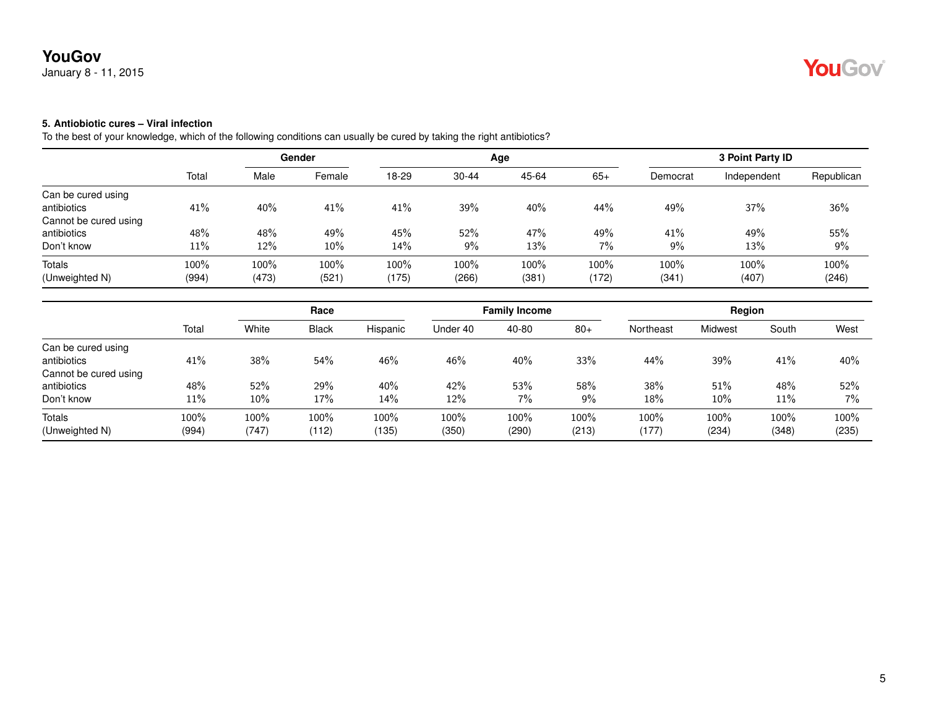# YouGov®

## **5. Antiobiotic cures – Viral infection**

|                       |        | Gender |        |       |           | Age   | 3 Point Party ID |          |             |            |
|-----------------------|--------|--------|--------|-------|-----------|-------|------------------|----------|-------------|------------|
|                       | Total  | Male   | Female | 18-29 | $30 - 44$ | 45-64 | $65+$            | Democrat | Independent | Republican |
| Can be cured using    |        |        |        |       |           |       |                  |          |             |            |
| antibiotics           | 41%    | 40%    | 41%    | 41%   | 39%       | 40%   | 44%              | 49%      | 37%         | 36%        |
| Cannot be cured using |        |        |        |       |           |       |                  |          |             |            |
| antibiotics           | 48%    | 48%    | 49%    | 45%   | 52%       | 47%   | 49%              | 41%      | 49%         | 55%        |
| Don't know            | $11\%$ | 12%    | $10\%$ | 14%   | 9%        | 13%   | $7\%$            | 9%       | 13%         | 9%         |
| Totals                | 100%   | 100%   | 100%   | 100%  | 100%      | 100%  | 100%             | 100%     | 100%        | 100%       |
| (Unweighted N)        | (994)  | (473)  | (521)  | (175) | (266)     | (381) | (172)            | (341)    | (407)       | (246)      |

|                       |       | Race  |       |          | <b>Family Income</b> |       |       | Region    |         |       |       |
|-----------------------|-------|-------|-------|----------|----------------------|-------|-------|-----------|---------|-------|-------|
|                       | Total | White | Black | Hispanic | Under 40             | 40-80 | $80+$ | Northeast | Midwest | South | West  |
| Can be cured using    |       |       |       |          |                      |       |       |           |         |       |       |
| antibiotics           | 41%   | 38%   | 54%   | 46%      | 46%                  | 40%   | 33%   | 44%       | 39%     | 41%   | 40%   |
| Cannot be cured using |       |       |       |          |                      |       |       |           |         |       |       |
| antibiotics           | 48%   | 52%   | 29%   | 40%      | 42%                  | 53%   | 58%   | 38%       | 51%     | 48%   | 52%   |
| Don't know            | 11%   | 10%   | 17%   | 14%      | 12%                  | $7\%$ | 9%    | 18%       | 10%     | 11%   | $7\%$ |
| Totals                | 100%  | 100%  | 100%  | $100\%$  | 100%                 | 100%  | 100%  | 100%      | 100%    | 100%  | 100%  |
| (Unweighted N)        | (994) | (747) | (112) | (135)    | (350)                | (290) | (213) | (177)     | (234)   | (348) | (235) |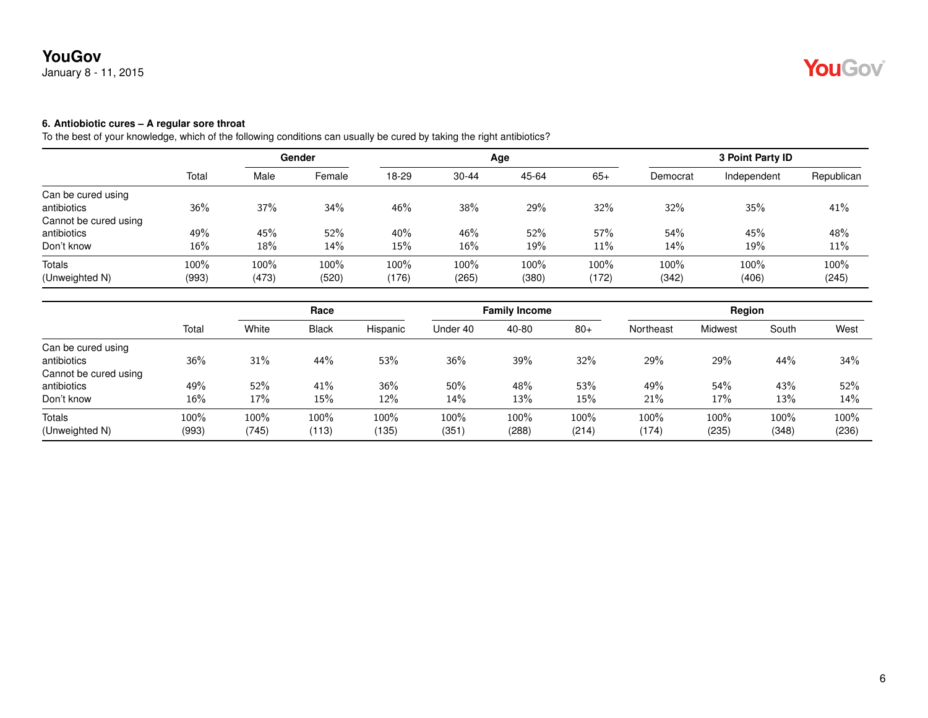## January 8 - 11, 2015

### **6. Antiobiotic cures – A regular sore throat**

|                       |       |       | Gender |       |           | Age   |       |          | 3 Point Party ID |            |
|-----------------------|-------|-------|--------|-------|-----------|-------|-------|----------|------------------|------------|
|                       | Total | Male  | Female | 18-29 | $30 - 44$ | 45-64 | $65+$ | Democrat | Independent      | Republican |
| Can be cured using    |       |       |        |       |           |       |       |          |                  |            |
| antibiotics           | 36%   | 37%   | 34%    | 46%   | 38%       | 29%   | 32%   | 32%      | 35%              | 41%        |
| Cannot be cured using |       |       |        |       |           |       |       |          |                  |            |
| antibiotics           | 49%   | 45%   | 52%    | 40%   | 46%       | 52%   | 57%   | 54%      | 45%              | 48%        |
| Don't know            | 16%   | 18%   | 14%    | 15%   | 16%       | 19%   | 11%   | 14%      | 19%              | 11%        |
| Totals                | 100%  | 100%  | 100%   | 100%  | 100%      | 100%  | 100%  | 100%     | 100%             | 100%       |
| (Unweighted N)        | (993) | (473) | (520)  | (176) | (265)     | (380) | (172) | (342)    | (406)            | (245)      |

|                       |       |       | Race         |          | <b>Family Income</b> |         |       | Region    |                |       |       |
|-----------------------|-------|-------|--------------|----------|----------------------|---------|-------|-----------|----------------|-------|-------|
|                       | Total | White | <b>Black</b> | Hispanic | Under 40             | 40-80   | $80+$ | Northeast | <b>Midwest</b> | South | West  |
| Can be cured using    |       |       |              |          |                      |         |       |           |                |       |       |
| antibiotics           | 36%   | 31%   | 44%          | 53%      | 36%                  | 39%     | 32%   | 29%       | 29%            | 44%   | 34%   |
| Cannot be cured using |       |       |              |          |                      |         |       |           |                |       |       |
| antibiotics           | 49%   | 52%   | 41%          | 36%      | 50%                  | 48%     | 53%   | 49%       | 54%            | 43%   | 52%   |
| Don't know            | 16%   | 17%   | 15%          | 12%      | 14%                  | 13%     | 15%   | 21%       | 17%            | 13%   | 14%   |
| <b>Totals</b>         | 100%  | 100%  | 100%         | 100%     | 100%                 | $100\%$ | 100%  | $100\%$   | 100%           | 100%  | 100%  |
| (Unweighted N)        | (993) | (745) | (113)        | (135)    | (351                 | (288)   | (214) | (174)     | (235)          | (348) | (236) |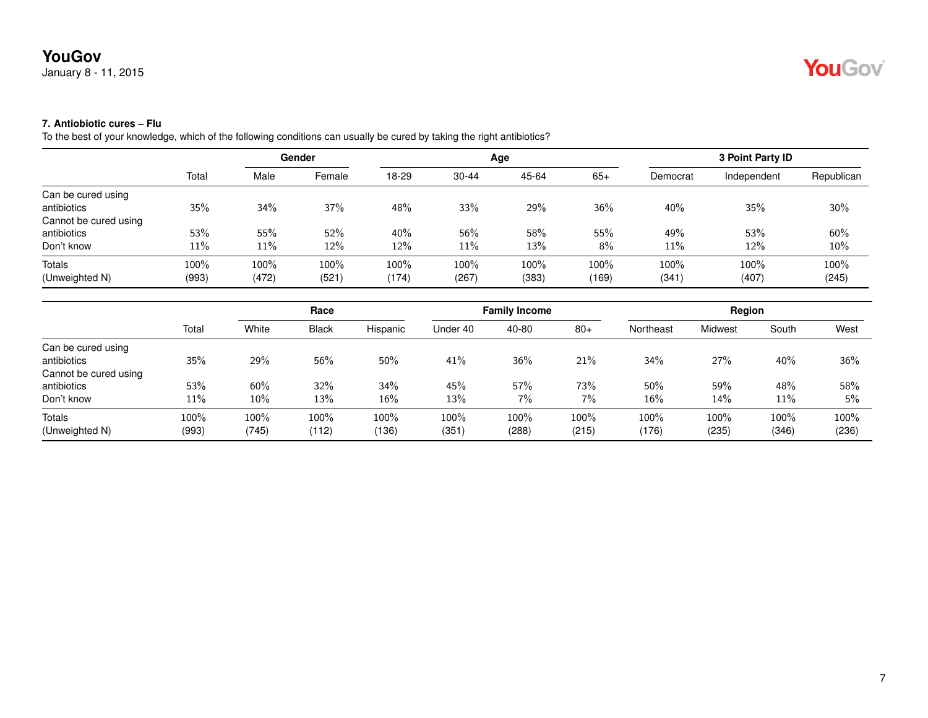## **7. Antiobiotic cures – Flu**

|                       | Gender |       |        |       |           | Age   | 3 Point Party ID |          |             |            |
|-----------------------|--------|-------|--------|-------|-----------|-------|------------------|----------|-------------|------------|
|                       | Total  | Male  | Female | 18-29 | $30 - 44$ | 45-64 | $65+$            | Democrat | Independent | Republican |
| Can be cured using    |        |       |        |       |           |       |                  |          |             |            |
| antibiotics           | 35%    | 34%   | 37%    | 48%   | 33%       | 29%   | 36%              | 40%      | 35%         | 30%        |
| Cannot be cured using |        |       |        |       |           |       |                  |          |             |            |
| antibiotics           | 53%    | 55%   | 52%    | 40%   | 56%       | 58%   | 55%              | 49%      | 53%         | 60%        |
| Don't know            | $11\%$ | 11%   | 12%    | 12%   | 11%       | 13%   | $8\%$            | 11%      | 12%         | 10%        |
| Totals                | 100%   | 100%  | 100%   | 100%  | 100%      | 100%  | 100%             | 100%     | 100%        | 100%       |
| (Unweighted N)        | (993)  | (472) | (521)  | (174) | (267)     | (383) | (169)            | (341)    | (407)       | (245)      |

|                       |       | Race  |       |          |          | <b>Family Income</b> |       |           | Region  |       |       |
|-----------------------|-------|-------|-------|----------|----------|----------------------|-------|-----------|---------|-------|-------|
|                       | Total | White | Black | Hispanic | Under 40 | 40-80                | $80+$ | Northeast | Midwest | South | West  |
| Can be cured using    |       |       |       |          |          |                      |       |           |         |       |       |
| antibiotics           | 35%   | 29%   | 56%   | 50%      | 41%      | 36%                  | 21%   | 34%       | 27%     | 40%   | 36%   |
| Cannot be cured using |       |       |       |          |          |                      |       |           |         |       |       |
| antibiotics           | 53%   | 60%   | 32%   | 34%      | 45%      | 57%                  | 73%   | 50%       | 59%     | 48%   | 58%   |
| Don't know            | 11%   | 10%   | 13%   | 16%      | 13%      | $7\%$                | 7%    | 16%       | 14%     | 11%   | 5%    |
| Totals                | 100%  | 100%  | 100%  | $100\%$  | 100%     | 100%                 | 100%  | 100%      | 100%    | 100%  | 100%  |
| (Unweighted N)        | (993) | (745) | (112) | (136     | (351     | (288)                | (215) | (176)     | (235)   | (346) | (236) |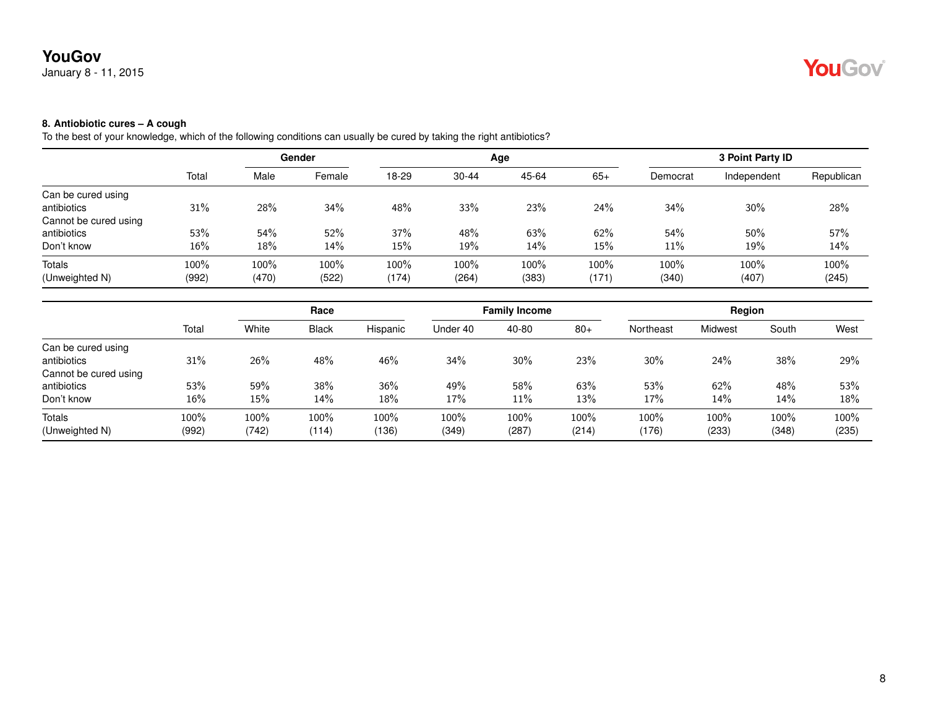## January 8 - 11, 2015

## **8. Antiobiotic cures – A cough**

|                       |        |       | Gender |       |           | Age   |       |          | 3 Point Party ID |            |
|-----------------------|--------|-------|--------|-------|-----------|-------|-------|----------|------------------|------------|
|                       | Total  | Male  | Female | 18-29 | $30 - 44$ | 45-64 | $65+$ | Democrat | Independent      | Republican |
| Can be cured using    |        |       |        |       |           |       |       |          |                  |            |
| antibiotics           | 31%    | 28%   | 34%    | 48%   | 33%       | 23%   | 24%   | 34%      | 30%              | 28%        |
| Cannot be cured using |        |       |        |       |           |       |       |          |                  |            |
| antibiotics           | 53%    | 54%   | 52%    | 37%   | 48%       | 63%   | 62%   | 54%      | 50%              | 57%        |
| Don't know            | $16\%$ | 18%   | 14%    | 15%   | 19%       | 14%   | 15%   | 11%      | 19%              | 14%        |
| Totals                | 100%   | 100%  | 100%   | 100%  | 100%      | 100%  | 100%  | 100%     | 100%             | 100%       |
| (Unweighted N)        | (992)  | (470) | (522)  | (174) | (264)     | (383) | (171) | (340)    | (407)            | (245)      |

|                       |       |       | Race         |          | <b>Family Income</b> |        |       | Region    |                |       |       |
|-----------------------|-------|-------|--------------|----------|----------------------|--------|-------|-----------|----------------|-------|-------|
|                       | Total | White | <b>Black</b> | Hispanic | Under 40             | 40-80  | $80+$ | Northeast | <b>Midwest</b> | South | West  |
| Can be cured using    |       |       |              |          |                      |        |       |           |                |       |       |
| antibiotics           | 31%   | 26%   | 48%          | 46%      | 34%                  | $30\%$ | 23%   | 30%       | 24%            | 38%   | 29%   |
| Cannot be cured using |       |       |              |          |                      |        |       |           |                |       |       |
| antibiotics           | 53%   | 59%   | 38%          | 36%      | 49%                  | 58%    | 63%   | 53%       | 62%            | 48%   | 53%   |
| Don't know            | 16%   | 15%   | 14%          | $18\%$   | 17%                  | $11\%$ | 13%   | 17%       | 14%            | 14%   | 18%   |
| <b>Totals</b>         | 100%  | 100%  | 100%         | 100%     | 100%                 | 100%   | 100%  | 100%      | 100%           | 100%  | 100%  |
| (Unweighted N)        | (992) | (742) | (114)        | (136)    | (349)                | (287)  | (214) | (176)     | (233)          | (348) | (235) |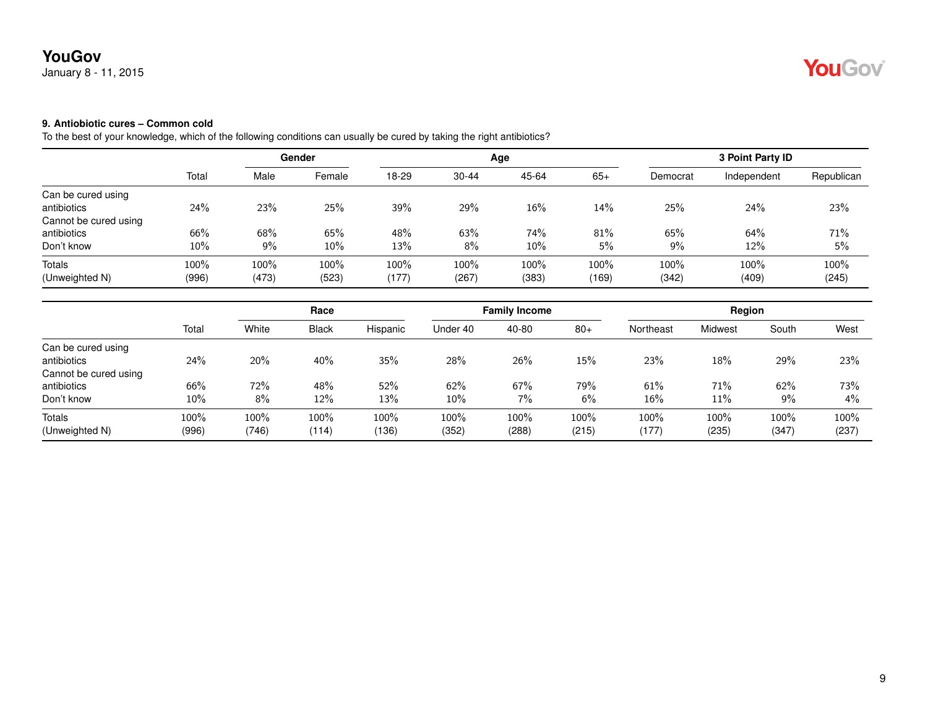## **9. Antiobiotic cures – Common cold**

To the best of your knowledge, which of the following conditions can usually be cured by taking the right antibiotics?

|                       |        |       | Gender |       |           | Age   |       |          | 3 Point Party ID |            |
|-----------------------|--------|-------|--------|-------|-----------|-------|-------|----------|------------------|------------|
|                       | Total  | Male  | Female | 18-29 | $30 - 44$ | 45-64 | $65+$ | Democrat | Independent      | Republican |
| Can be cured using    |        |       |        |       |           |       |       |          |                  |            |
| antibiotics           | 24%    | 23%   | 25%    | 39%   | 29%       | 16%   | 14%   | 25%      | 24%              | 23%        |
| Cannot be cured using |        |       |        |       |           |       |       |          |                  |            |
| antibiotics           | 66%    | 68%   | 65%    | 48%   | 63%       | 74%   | 81%   | 65%      | 64%              | 71%        |
| Don't know            | $10\%$ | 9%    | 10%    | 13%   | 8%        | 10%   | 5%    | 9%       | 12%              | 5%         |
| Totals                | 100%   | 100%  | 100%   | 100%  | 100%      | 100%  | 100%  | 100%     | 100%             | 100%       |
| (Unweighted N)        | (996)  | (473) | (523)  | (177) | (267)     | (383) | (169) | (342)    | (409)            | (245)      |

|                       |        | Race  |       |          |          | <b>Family Income</b> |       |           | Region  |       |       |
|-----------------------|--------|-------|-------|----------|----------|----------------------|-------|-----------|---------|-------|-------|
|                       | Total  | White | Black | Hispanic | Under 40 | 40-80                | $80+$ | Northeast | Midwest | South | West  |
| Can be cured using    |        |       |       |          |          |                      |       |           |         |       |       |
| antibiotics           | 24%    | 20%   | 40%   | 35%      | 28%      | 26%                  | 15%   | 23%       | 18%     | 29%   | 23%   |
| Cannot be cured using |        |       |       |          |          |                      |       |           |         |       |       |
| antibiotics           | 66%    | 72%   | 48%   | 52%      | 62%      | 67%                  | 79%   | 61%       | 71%     | 62%   | 73%   |
| Don't know            | $10\%$ | 8%    | 12%   | 13%      | $10\%$   | $7\%$                | 6%    | 16%       | 11%     | 9%    | $4\%$ |
| Totals                | 100%   | 100%  | 100%  | $100\%$  | 100%     | 100%                 | 100%  | 100%      | 100%    | 100%  | 100%  |
| (Unweighted N)        | (996)  | (746) | (114) | (136     | (352)    | (288)                | (215) | (177)     | (235)   | (347) | (237) |

YouGov®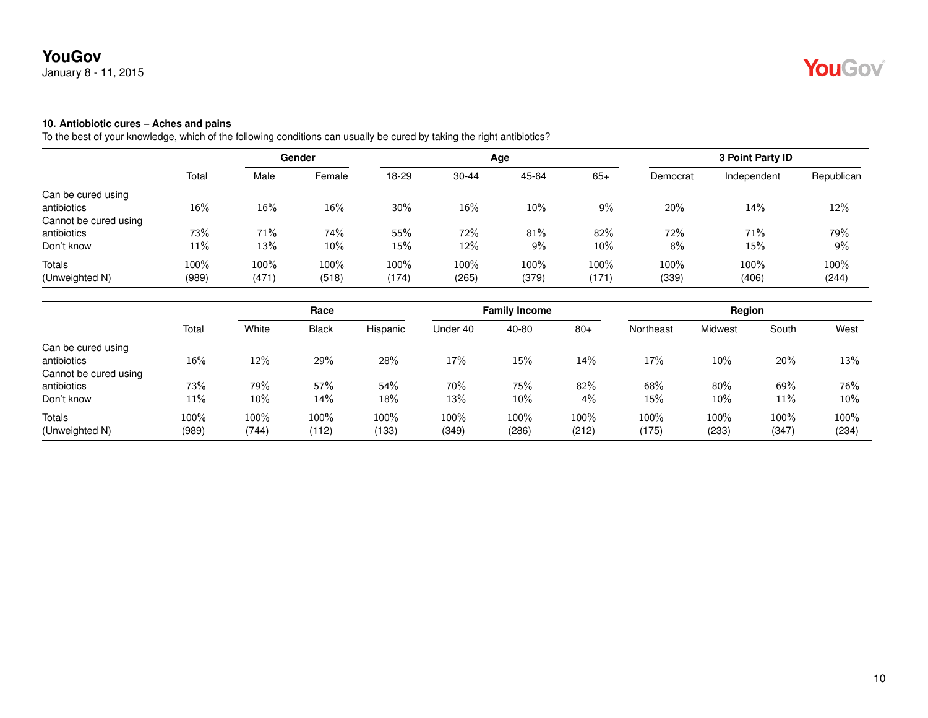#### **10. Antiobiotic cures – Aches and pains**

|                       |        |       | Gender |       |           | Age   |       |          | 3 Point Party ID |            |
|-----------------------|--------|-------|--------|-------|-----------|-------|-------|----------|------------------|------------|
|                       | Total  | Male  | Female | 18-29 | $30 - 44$ | 45-64 | $65+$ | Democrat | Independent      | Republican |
| Can be cured using    |        |       |        |       |           |       |       |          |                  |            |
| antibiotics           | $16\%$ | 16%   | 16%    | 30%   | 16%       | 10%   | $9\%$ | 20%      | 14%              | 12%        |
| Cannot be cured using |        |       |        |       |           |       |       |          |                  |            |
| antibiotics           | 73%    | 71%   | 74%    | 55%   | 72%       | 81%   | 82%   | 72%      | 71%              | 79%        |
| Don't know            | $11\%$ | 13%   | 10%    | 15%   | 12%       | 9%    | 10%   | 8%       | 15%              | 9%         |
| Totals                | 100%   | 100%  | 100%   | 100%  | 100%      | 100%  | 100%  | 100%     | 100%             | 100%       |
| (Unweighted N)        | (989)  | (471) | (518)  | (174) | (265)     | (379) | (171) | (339)    | (406)            | (244)      |

|                       |       |        | Race         |          | <b>Family Income</b> |        |       | Region    |         |       |       |
|-----------------------|-------|--------|--------------|----------|----------------------|--------|-------|-----------|---------|-------|-------|
|                       | Total | White  | <b>Black</b> | Hispanic | Under 40             | 40-80  | $80+$ | Northeast | Midwest | South | West  |
| Can be cured using    |       |        |              |          |                      |        |       |           |         |       |       |
| antibiotics           | 16%   | 12%    | 29%          | 28%      | 17%                  | 15%    | 14%   | 17%       | 10%     | 20%   | 13%   |
| Cannot be cured using |       |        |              |          |                      |        |       |           |         |       |       |
| antibiotics           | 73%   | 79%    | 57%          | 54%      | 70%                  | 75%    | 82%   | 68%       | 80%     | 69%   | 76%   |
| Don't know            | 11%   | $10\%$ | 14%          | $18\%$   | 13%                  | $10\%$ | $4\%$ | 15%       | $10\%$  | 11%   | 10%   |
| <b>Totals</b>         | 100%  | 100%   | 100%         | 100%     | 100%                 | 100%   | 100%  | 100%      | 100%    | 100%  | 100%  |
| (Unweighted N)        | (989) | (744)  | (112)        | (133)    | (349)                | (286)  | (212) | (175)     | (233)   | (347) | (234) |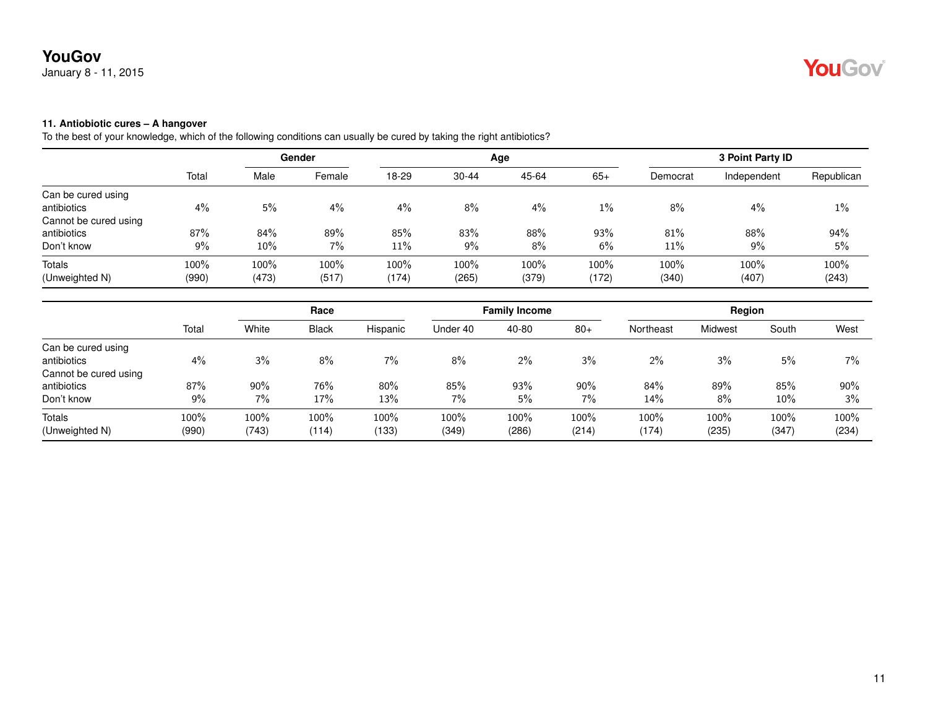#### **11. Antiobiotic cures – A hangover**

|                       |       | Gender |        |       |           | Age   | 3 Point Party ID |          |             |            |
|-----------------------|-------|--------|--------|-------|-----------|-------|------------------|----------|-------------|------------|
|                       | Total | Male   | Female | 18-29 | $30 - 44$ | 45-64 | $65+$            | Democrat | Independent | Republican |
| Can be cured using    |       |        |        |       |           |       |                  |          |             |            |
| antibiotics           | 4%    | 5%     | 4%     | 4%    | 8%        | 4%    | $1\%$            | 8%       | 4%          | $1\%$      |
| Cannot be cured using |       |        |        |       |           |       |                  |          |             |            |
| antibiotics           | 87%   | 84%    | 89%    | 85%   | 83%       | 88%   | 93%              | 81%      | 88%         | 94%        |
| Don't know            | 9%    | 10%    | 7%     | 11%   | 9%        | 8%    | 6%               | 11%      | 9%          | 5%         |
| Totals                | 100%  | 100%   | 100%   | 100%  | 100%      | 100%  | 100%             | 100%     | 100%        | 100%       |
| (Unweighted N)        | (990) | (473)  | (517)  | (174) | (265)     | (379) | (172)            | (340)    | (407)       | (243)      |

|                       |       | Race  |              |          | <b>Family Income</b> |       |        | Region    |         |       |       |
|-----------------------|-------|-------|--------------|----------|----------------------|-------|--------|-----------|---------|-------|-------|
|                       | Total | White | <b>Black</b> | Hispanic | Under 40             | 40-80 | $80+$  | Northeast | Midwest | South | West  |
| Can be cured using    |       |       |              |          |                      |       |        |           |         |       |       |
| antibiotics           | 4%    | 3%    | 8%           | 7%       | 8%                   | $2\%$ | 3%     | 2%        | 3%      | 5%    | $7\%$ |
| Cannot be cured using |       |       |              |          |                      |       |        |           |         |       |       |
| antibiotics           | 87%   | 90%   | 76%          | $80\%$   | 85%                  | 93%   | $90\%$ | 84%       | 89%     | 85%   | 90%   |
| Don't know            | 9%    | 7%    | 17%          | 13%      | 7%                   | 5%    | 7%     | 14%       | 8%      | 10%   | 3%    |
| <b>Totals</b>         | 100%  | 100%  | 100%         | 100%     | 100%                 | 100%  | 100%   | 100%      | 100%    | 100%  | 100%  |
| (Unweighted N)        | (990) | (743) | (114)        | (133)    | (349)                | (286) | (214)  | (174)     | (235)   | (347) | (234) |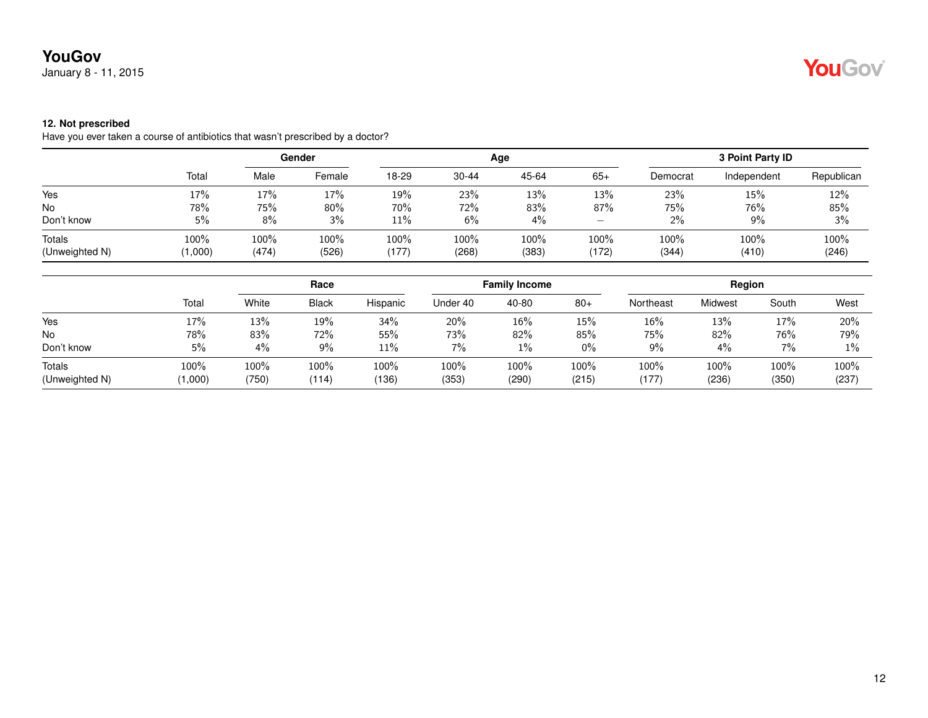January 8 - 11, 2015

# YouGov

#### **12. Not prescribed**

Have you ever taken a course of antibiotics that wasn't prescribed by a doctor?

|                                 |                 |               | Gender        |               |               | Age           |                                 |               | 3 Point Party ID |               |
|---------------------------------|-----------------|---------------|---------------|---------------|---------------|---------------|---------------------------------|---------------|------------------|---------------|
|                                 | Total           | Male          | Female        | 18-29         | $30 - 44$     | 45-64         | $65+$                           | Democrat      | Independent      | Republican    |
| Yes                             | 17%             | 17%           | 17%           | 19%           | 23%           | 13%           | 13%                             | 23%           | 15%              | 12%           |
| <b>No</b>                       | 78%             | 75%           | 80%           | 70%           | 72%           | 83%           | 87%                             | 75%           | 76%              | 85%           |
| Don't know                      | 5%              | 8%            | 3%            | 11%           | 6%            | $4\%$         | $\hspace{0.1mm}-\hspace{0.1mm}$ | 2%            | 9%               | 3%            |
| <b>Totals</b><br>(Unweighted N) | 100%<br>(1,000) | 100%<br>(474) | 100%<br>(526) | 100%<br>(177) | 100%<br>(268) | 100%<br>(383) | 100%<br>(172)                   | 100%<br>(344) | 100%<br>(410)    | 100%<br>(246) |

|                          |                 | Race             |               | <b>Family Income</b> |                  |                  | Region        |                  |               |               |               |
|--------------------------|-----------------|------------------|---------------|----------------------|------------------|------------------|---------------|------------------|---------------|---------------|---------------|
|                          | Total           | White            | <b>Black</b>  | Hispanic             | Under 40         | 40-80            | $80+$         | Northeast        | Midwest       | South         | West          |
| Yes                      | 17%             | 13%              | 19%           | 34%                  | 20%              | 16%              | 15%           | 16%              | 13%           | 17%           | 20%           |
| No                       | 78%             | 83%              | 72%           | 55%                  | 73%              | 82%              | 85%           | 75%              | 82%           | 76%           | 79%           |
| Don't know               | 5%              | $4\%$            | 9%            | $11\%$               | 7%               | $1\%$            | 0%            | 9%               | 4%            | 7%            | $1\%$         |
| Totals<br>(Unweighted N) | 100%<br>(1,000) | $100\%$<br>(750) | 100%<br>(114) | 100%<br>(136)        | $100\%$<br>(353) | $100\%$<br>(290) | 100%<br>(215) | $100\%$<br>(177) | 100%<br>(236) | 100%<br>(350) | 100%<br>(237) |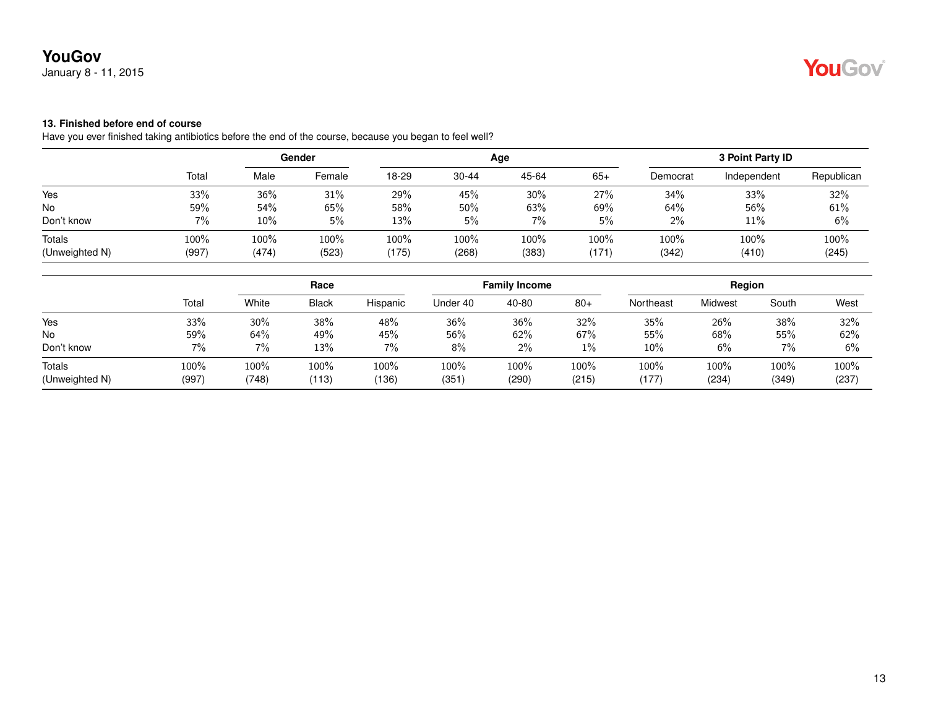## **13. Finished before end of course**

Have you ever finished taking antibiotics before the end of the course, because you began to feel well?

| Republican    |
|---------------|
| 32%           |
| 61%           |
| 6%            |
| 100%<br>(245) |
|               |

|                          | Race          |               |               |               | <b>Family Income</b> |                  | Region        |               |               |               |               |
|--------------------------|---------------|---------------|---------------|---------------|----------------------|------------------|---------------|---------------|---------------|---------------|---------------|
|                          | Total         | White         | <b>Black</b>  | Hispanic      | Under 40             | 40-80            | $80+$         | Northeast     | Midwest       | South         | West          |
| Yes                      | 33%           | 30%           | 38%           | 48%           | 36%                  | 36%              | 32%           | 35%           | 26%           | 38%           | 32%           |
| No                       | 59%           | 64%           | 49%           | 45%           | 56%                  | 62%              | 67%           | 55%           | 68%           | 55%           | 62%           |
| Don't know               | 7%            | 7%            | 13%           | 7%            | $8\%$                | $2\%$            | 1%            | 10%           | 6%            | 7%            | 6%            |
| Totals<br>(Unweighted N) | 100%<br>(997) | 100%<br>(748) | 100%<br>(113) | 100%<br>(136) | 100%<br>(351)        | $100\%$<br>(290) | 100%<br>(215) | 100%<br>(177) | 100%<br>(234) | 100%<br>(349) | 100%<br>(237) |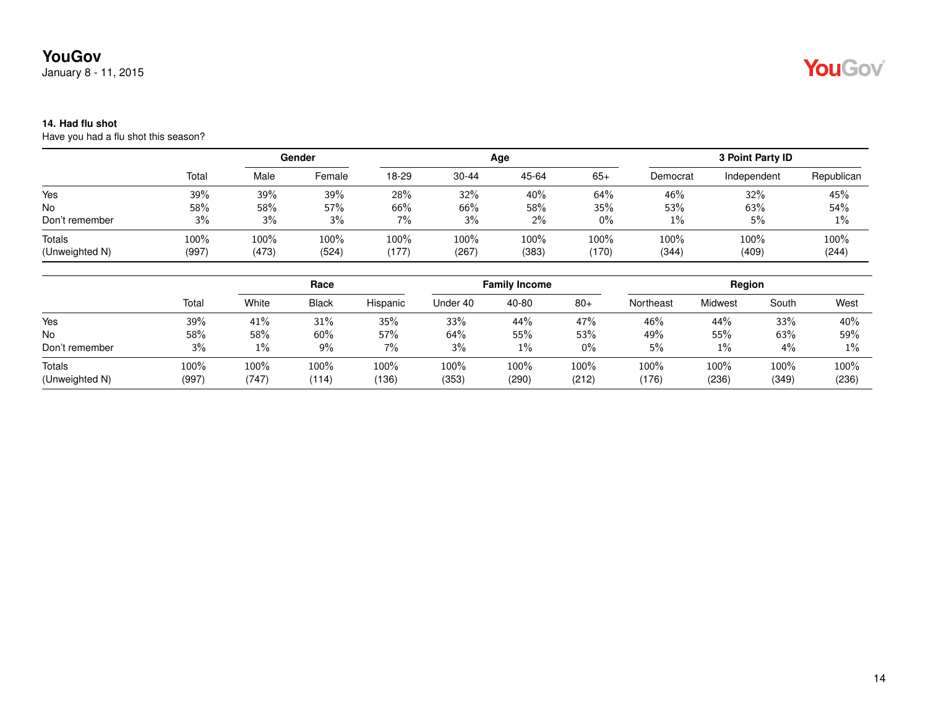January 8 - 11, 2015

# YouGov

### **14. Had flu shot**

Have you had a flu shot this season?

|                                 |               | Gender        |               |               |               | Age           | 3 Point Party ID |               |               |               |
|---------------------------------|---------------|---------------|---------------|---------------|---------------|---------------|------------------|---------------|---------------|---------------|
|                                 | Total         | Male          | Female        | 18-29         | $30 - 44$     | 45-64         | $65+$            | Democrat      | Independent   | Republican    |
| Yes                             | 39%           | 39%           | 39%           | 28%           | 32%           | 40%           | 64%              | 46%           | 32%           | 45%           |
| No                              | 58%           | 58%           | 57%           | 66%           | 66%           | 58%           | 35%              | 53%           | 63%           | 54%           |
| Don't remember                  | 3%            | 3%            | 3%            | $7\%$         | 3%            | $2\%$         | $0\%$            | $1\%$         | 5%            | 1%            |
| <b>Totals</b><br>(Unweighted N) | 100%<br>(997) | 100%<br>(473) | 100%<br>(524) | 100%<br>(177) | 100%<br>(267) | 100%<br>(383) | 100%<br>(170)    | 100%<br>(344) | 100%<br>(409) | 100%<br>(244) |

|                |       | Race  |       |          | <b>Family Income</b> |       |       | Region    |         |       |       |
|----------------|-------|-------|-------|----------|----------------------|-------|-------|-----------|---------|-------|-------|
|                | Total | White | Black | Hispanic | Under 40             | 40-80 | $80+$ | Northeast | Midwest | South | West  |
| Yes            | 39%   | 41%   | 31%   | 35%      | 33%                  | 44%   | 47%   | 46%       | 44%     | 33%   | 40%   |
| No             | 58%   | 58%   | 60%   | 57%      | 64%                  | 55%   | 53%   | 49%       | 55%     | 63%   | 59%   |
| Don't remember | 3%    | 1%    | 9%    | $7\%$    | 3%                   | 1%    | $0\%$ | 5%        | 1%      | 4%    | $1\%$ |
| Totals         | 100%  | 100%  | 100%  | $100\%$  | 100%                 | 100%  | 100%  | $100\%$   | 100%    | 100%  | 100%  |
| (Unweighted N) | (997) | (747) | (114) | (136)    | (353)                | (290) | (212) | (176)     | (236)   | (349) | (236) |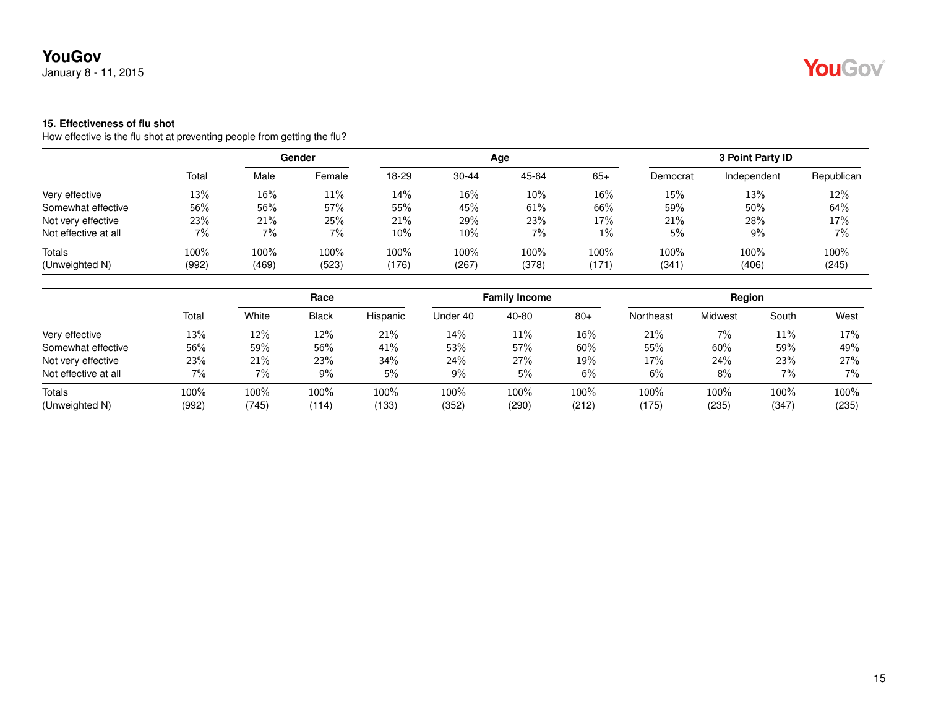January 8 - 11, 2015

## **15. Effectiveness of flu shot**

How effective is the flu shot at preventing people from getting the flu?

|                      | Total |       | Gender |        |           | Age   | 3 Point Party ID |          |             |            |
|----------------------|-------|-------|--------|--------|-----------|-------|------------------|----------|-------------|------------|
|                      |       | Male  | Female | 18-29  | $30 - 44$ | 45-64 | $65+$            | Democrat | Independent | Republican |
| Very effective       | 13%   | 16%   | 11%    | 14%    | 16%       | 10%   | 16%              | 15%      | 13%         | 12%        |
| Somewhat effective   | 56%   | 56%   | 57%    | 55%    | 45%       | 61%   | 66%              | 59%      | 50%         | 64%        |
| Not very effective   | 23%   | 21%   | 25%    | 21%    | 29%       | 23%   | 17%              | 21%      | 28%         | 17%        |
| Not effective at all | 7%    | 7%    | 7%     | $10\%$ | 10%       | 7%    | $1\%$            | 5%       | 9%          | 7%         |
| Totals               | 100%  | 100%  | 100%   | 100%   | 100%      | 100%  | $100\%$          | 100%     | 100%        | 100%       |
| (Unweighted N)       | (992) | (469) | (523)  | (176)  | (267)     | (378) | (171)            | (341)    | (406)       | (245)      |

|                      |       |       | Race         |          |          | <b>Family Income</b> |       |           | Region  |       |       |
|----------------------|-------|-------|--------------|----------|----------|----------------------|-------|-----------|---------|-------|-------|
|                      | Total | White | <b>Black</b> | Hispanic | Under 40 | 40-80                | $80+$ | Northeast | Midwest | South | West  |
| Very effective       | 13%   | 12%   | 12%          | 21%      | 14%      | 11%                  | 16%   | 21%       | 7%      | 11%   | 17%   |
| Somewhat effective   | 56%   | 59%   | 56%          | 41%      | 53%      | 57%                  | 60%   | 55%       | 60%     | 59%   | 49%   |
| Not very effective   | 23%   | 21%   | 23%          | 34%      | 24%      | 27%                  | 19%   | 17%       | 24%     | 23%   | 27%   |
| Not effective at all | $7\%$ | 7%    | 9%           | 5%       | $9\%$    | 5%                   | 6%    | 6%        | 8%      | $7\%$ | 7%    |
| Totals               | 100%  | 100%  | 100%         | 100%     | 100%     | 100%                 | 100%  | 100%      | $100\%$ | 100%  | 100%  |
| (Unweighted N)       | (992) | (745) | (114)        | (133)    | (352)    | (290)                | (212) | (175)     | (235)   | (347) | (235) |